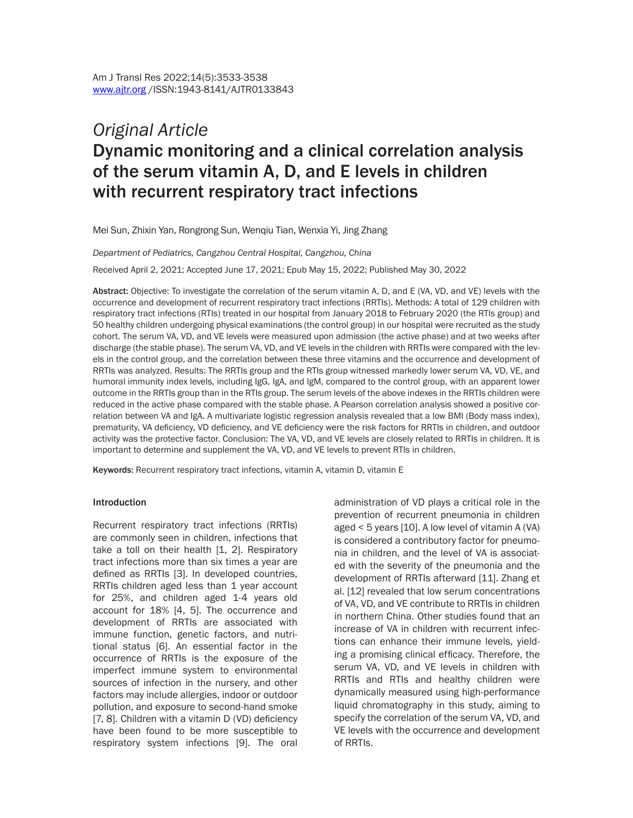# *Original Article* Dynamic monitoring and a clinical correlation analysis of the serum vitamin A, D, and E levels in children with recurrent respiratory tract infections

Mei Sun, Zhixin Yan, Rongrong Sun, Wenqiu Tian, Wenxia Yi, Jing Zhang

*Department of Pediatrics, Cangzhou Central Hospital, Cangzhou, China*

Received April 2, 2021; Accepted June 17, 2021; Epub May 15, 2022; Published May 30, 2022

Abstract: Objective: To investigate the correlation of the serum vitamin A, D, and E (VA, VD, and VE) levels with the occurrence and development of recurrent respiratory tract infections (RRTIs). Methods: A total of 129 children with respiratory tract infections (RTIs) treated in our hospital from January 2018 to February 2020 (the RTIs group) and 50 healthy children undergoing physical examinations (the control group) in our hospital were recruited as the study cohort. The serum VA, VD, and VE levels were measured upon admission (the active phase) and at two weeks after discharge (the stable phase). The serum VA, VD, and VE levels in the children with RRTIs were compared with the levels in the control group, and the correlation between these three vitamins and the occurrence and development of RRTIs was analyzed. Results: The RRTIs group and the RTIs group witnessed markedly lower serum VA, VD, VE, and humoral immunity index levels, including IgG, IgA, and IgM, compared to the control group, with an apparent lower outcome in the RRTIs group than in the RTIs group. The serum levels of the above indexes in the RRTIs children were reduced in the active phase compared with the stable phase. A Pearson correlation analysis showed a positive correlation between VA and IgA. A multivariate logistic regression analysis revealed that a low BMI (Body mass index), prematurity, VA deficiency, VD deficiency, and VE deficiency were the risk factors for RRTIs in children, and outdoor activity was the protective factor. Conclusion: The VA, VD, and VE levels are closely related to RRTIs in children. It is important to determine and supplement the VA, VD, and VE levels to prevent RTIs in children.

Keywords: Recurrent respiratory tract infections, vitamin A, vitamin D, vitamin E

#### **Introduction**

Recurrent respiratory tract infections (RRTIs) are commonly seen in children, infections that take a toll on their health [1, 2]. Respiratory tract infections more than six times a year are defined as RRTIs [3]. In developed countries, RRTIs children aged less than 1 year account for 25%, and children aged 1-4 years old account for 18% [4, 5]. The occurrence and development of RRTIs are associated with immune function, genetic factors, and nutritional status [6]. An essential factor in the occurrence of RRTIs is the exposure of the imperfect immune system to environmental sources of infection in the nursery, and other factors may include allergies, indoor or outdoor pollution, and exposure to second-hand smoke [7, 8]. Children with a vitamin D (VD) deficiency have been found to be more susceptible to respiratory system infections [9]. The oral administration of VD plays a critical role in the prevention of recurrent pneumonia in children aged < 5 years [10]. A low level of vitamin A (VA) is considered a contributory factor for pneumonia in children, and the level of VA is associated with the severity of the pneumonia and the development of RRTIs afterward [11]. Zhang et al. [12] revealed that low serum concentrations of VA, VD, and VE contribute to RRTIs in children in northern China. Other studies found that an increase of VA in children with recurrent infections can enhance their immune levels, yielding a promising clinical efficacy. Therefore, the serum VA, VD, and VE levels in children with RRTIs and RTIs and healthy children were dynamically measured using high-performance liquid chromatography in this study, aiming to specify the correlation of the serum VA, VD, and VE levels with the occurrence and development of RRTIs.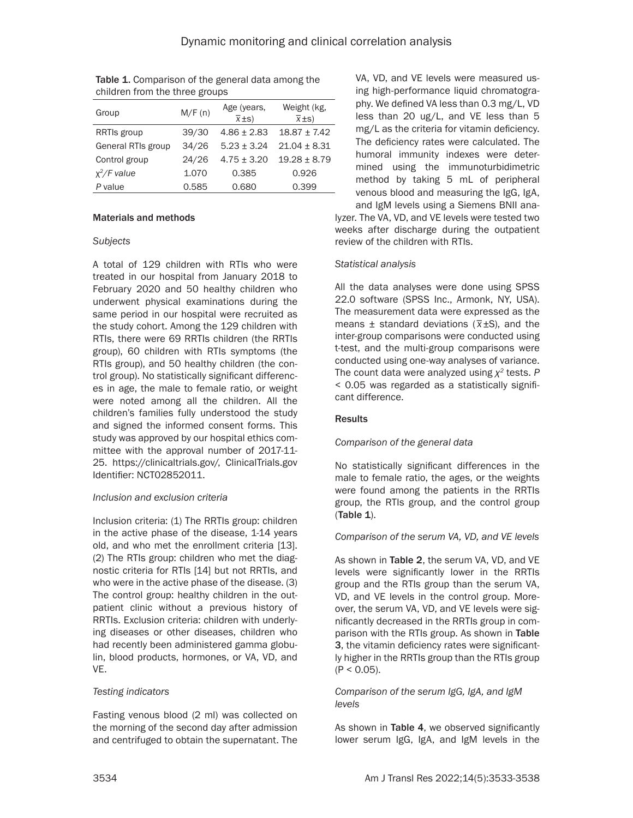| Group              | M/F(n) | Age (years,<br>$\overline{x}$ ±s) | Weight (kg,<br>$\overline{x}$ ±s) |
|--------------------|--------|-----------------------------------|-----------------------------------|
| RRTIs group        | 39/30  | $4.86 \pm 2.83$                   | $18.87 \pm 7.42$                  |
| General RTIs group | 34/26  | $5.23 + 3.24$                     | $21.04 \pm 8.31$                  |
| Control group      | 24/26  | $4.75 \pm 3.20$                   | $19.28 \pm 8.79$                  |
| $x^2/F$ value      | 1.070  | 0.385                             | 0.926                             |
| P value            | 0.585  | 0.680                             | 0.399                             |

Table 1. Comparison of the general data among the children from the three groups

#### Materials and methods

## *Subjects*

A total of 129 children with RTIs who were treated in our hospital from January 2018 to February 2020 and 50 healthy children who underwent physical examinations during the same period in our hospital were recruited as the study cohort. Among the 129 children with RTIs, there were 69 RRTIs children (the RRTIs group), 60 children with RTIs symptoms (the RTIs group), and 50 healthy children (the control group). No statistically significant differences in age, the male to female ratio, or weight were noted among all the children. All the children's families fully understood the study and signed the informed consent forms. This study was approved by our hospital ethics committee with the approval number of 2017-11- 25. https://clinicaltrials.gov/, ClinicalTrials.gov Identifier: NCT02852011.

## *Inclusion and exclusion criteria*

Inclusion criteria: (1) The RRTIs group: children in the active phase of the disease, 1-14 years old, and who met the enrollment criteria [13]. (2) The RTIs group: children who met the diagnostic criteria for RTIs [14] but not RRTIs, and who were in the active phase of the disease. (3) The control group: healthy children in the outpatient clinic without a previous history of RRTIs. Exclusion criteria: children with underlying diseases or other diseases, children who had recently been administered gamma globulin, blood products, hormones, or VA, VD, and VE.

## *Testing indicators*

Fasting venous blood (2 ml) was collected on the morning of the second day after admission and centrifuged to obtain the supernatant. The VA, VD, and VE levels were measured using high-performance liquid chromatography. We defined VA less than 0.3 mg/L, VD less than 20 ug/L, and VE less than 5 mg/L as the criteria for vitamin deficiency. The deficiency rates were calculated. The humoral immunity indexes were determined using the immunoturbidimetric method by taking 5 mL of peripheral venous blood and measuring the IgG, IgA, and IgM levels using a Siemens BNII ana-

lyzer. The VA, VD, and VE levels were tested two weeks after discharge during the outpatient review of the children with RTIs.

## *Statistical analysis*

All the data analyses were done using SPSS 22.0 software (SPSS Inc., Armonk, NY, USA). The measurement data were expressed as the means ± standard deviations (*\_ x*±S), and the inter-group comparisons were conducted using t-test, and the multi-group comparisons were conducted using one-way analyses of variance. The count data were analyzed using *χ<sup>2</sup>* tests. *P* < 0.05 was regarded as a statistically significant difference.

## Results

## *Comparison of the general data*

No statistically significant differences in the male to female ratio, the ages, or the weights were found among the patients in the RRTIs group, the RTIs group, and the control group (Table 1).

## *Comparison of the serum VA, VD, and VE levels*

As shown in Table 2, the serum VA, VD, and VE levels were significantly lower in the RRTIs group and the RTIs group than the serum VA, VD, and VE levels in the control group. Moreover, the serum VA, VD, and VE levels were significantly decreased in the RRTIs group in comparison with the RTIs group. As shown in Table 3, the vitamin deficiency rates were significantly higher in the RRTIs group than the RTIs group  $(P < 0.05)$ .

## *Comparison of the serum IgG, IgA, and IgM levels*

As shown in Table 4, we observed significantly lower serum IgG, IgA, and IgM levels in the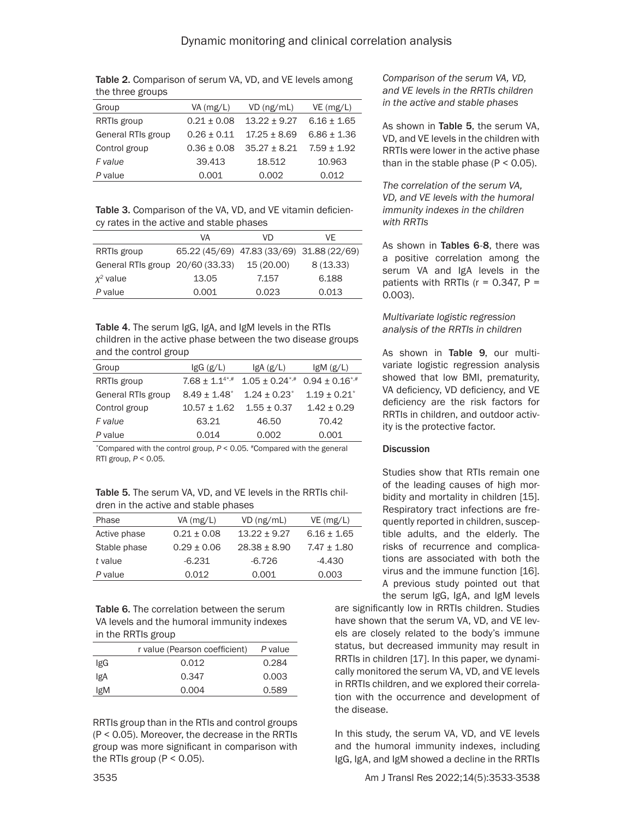| Table 2. Comparison of serum VA, VD, and VE levels among |  |  |
|----------------------------------------------------------|--|--|
| the three groups                                         |  |  |

| Group              | $VA$ (mg/L)     | $VD$ (ng/mL)     | VE(mg/L)        |
|--------------------|-----------------|------------------|-----------------|
| RRTIs group        | $0.21 \pm 0.08$ | $13.22 + 9.27$   | $6.16 \pm 1.65$ |
| General RTIs group | $0.26 + 0.11$   | $17.25 + 8.69$   | $6.86 + 1.36$   |
| Control group      | $0.36 + 0.08$   | $35.27 \pm 8.21$ | $7.59 + 1.92$   |
| F value            | 39.413          | 18.512           | 10.963          |
| P value            | 0.001           | 0.002            | 0.012           |

Table 3. Comparison of the VA, VD, and VE vitamin deficiency rates in the active and stable phases

|                                  | VA    | VD                                        | VF       |  |
|----------------------------------|-------|-------------------------------------------|----------|--|
| RRTIs group                      |       | 65.22 (45/69) 47.83 (33/69) 31.88 (22/69) |          |  |
| General RTIs group 20/60 (33.33) |       | 15 (20.00)                                | 8(13.33) |  |
| $x^2$ value                      | 13.05 | 7.157                                     | 6.188    |  |
| P value                          | 0.001 | 0.023                                     | 0.013    |  |

Table 4. The serum IgG, IgA, and IgM levels in the RTIs children in the active phase between the two disease groups and the control group

| Group              | $lgG$ $(g/L)$                  | lgA(g/L)                     |                     |
|--------------------|--------------------------------|------------------------------|---------------------|
| RRTIs group        | $7.68 \pm 1.14$ <sup>*,#</sup> | $1.05 \pm 0.24$ *,#          | $0.94 \pm 0.16$ *,# |
| General RTIs group | $8.49 \pm 1.48$ <sup>*</sup>   | $1.24 \pm 0.23$ <sup>*</sup> | $1.19 \pm 0.21^*$   |
| Control group      | $10.57 \pm 1.62$               | $1.55 \pm 0.37$              | $1.42 \pm 0.29$     |
| F value            | 63.21                          | 46.50                        | 70.42               |
| P value            | 0.014                          | 0.002                        | 0.001               |

\*Compared with the control group, *P* < 0.05*.* #Compared with the general RTI group, *P* < 0.05*.*

Table 5. The serum VA, VD, and VE levels in the RRTIs children in the active and stable phases

| Phase        | VA (mg/L)       | $VD$ (ng/mL)     | $VE$ (mg/L)     |
|--------------|-----------------|------------------|-----------------|
| Active phase | $0.21 + 0.08$   | $13.22 + 9.27$   | $6.16 \pm 1.65$ |
| Stable phase | $0.29 \pm 0.06$ | $28.38 \pm 8.90$ | $7.47 \pm 1.80$ |
| t value      | $-6.231$        | $-6.726$         | $-4.430$        |
| P value      | 0.012           | 0.001            | 0.003           |

Table 6. The correlation between the serum VA levels and the humoral immunity indexes in the RRTIs group

|            | r value (Pearson coefficient) | P value |
|------------|-------------------------------|---------|
| IgG        | 0.012                         | 0.284   |
| <b>IgA</b> | 0.347                         | 0.003   |
| lgM        | 0.004                         | 0.589   |
|            |                               |         |

RRTIs group than in the RTIs and control groups (P < 0.05). Moreover, the decrease in the RRTIs group was more significant in comparison with the RTIs group ( $P < 0.05$ ).

*Comparison of the serum VA, VD, and VE levels in the RRTIs children in the active and stable phases*

As shown in Table 5, the serum VA, VD, and VE levels in the children with RRTIs were lower in the active phase than in the stable phase  $(P < 0.05)$ .

*The correlation of the serum VA, VD, and VE levels with the humoral immunity indexes in the children with RRTIs*

As shown in Tables 6-8, there was a positive correlation among the serum VA and IgA levels in the patients with RRTIs ( $r = 0.347$ ,  $P =$ 0.003).

*Multivariate logistic regression analysis of the RRTIs in children*

As shown in Table 9, our multivariate logistic regression analysis showed that low BMI, prematurity, VA deficiency, VD deficiency, and VE deficiency are the risk factors for RRTIs in children, and outdoor activity is the protective factor.

## **Discussion**

Studies show that RTIs remain one of the leading causes of high morbidity and mortality in children [15]. Respiratory tract infections are frequently reported in children, susceptible adults, and the elderly. The risks of recurrence and complications are associated with both the virus and the immune function [16]. A previous study pointed out that the serum IgG, IgA, and IgM levels

are significantly low in RRTIs children. Studies have shown that the serum VA, VD, and VE levels are closely related to the body's immune status, but decreased immunity may result in RRTIs in children [17]. In this paper, we dynamically monitored the serum VA, VD, and VE levels in RRTIs children, and we explored their correlation with the occurrence and development of the disease.

In this study, the serum VA, VD, and VE levels and the humoral immunity indexes, including IgG, IgA, and IgM showed a decline in the RRTIs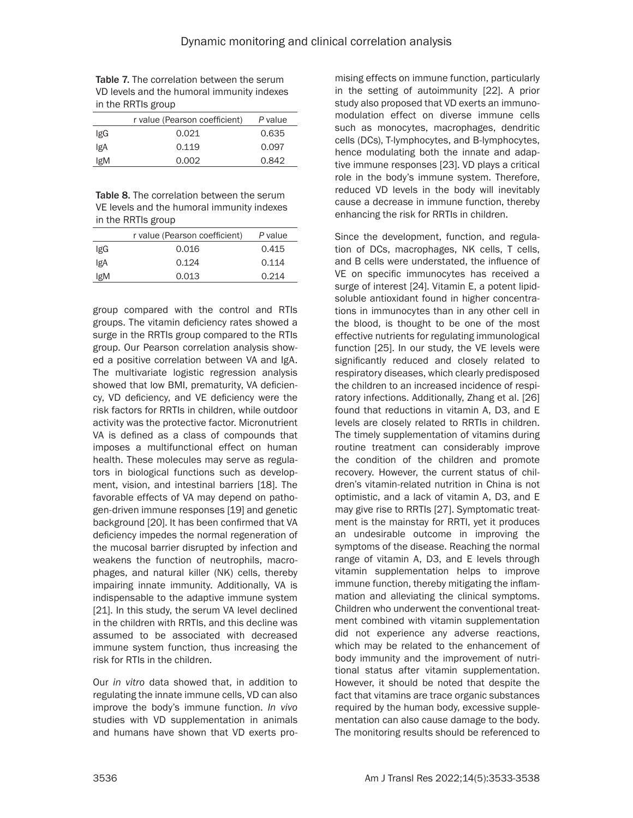Table 7. The correlation between the serum VD levels and the humoral immunity indexes in the RRTIs group

|     | r value (Pearson coefficient) | P value |
|-----|-------------------------------|---------|
| IgG | 0.021                         | 0.635   |
| IgA | 0.119                         | 0.097   |
| IgM | 0.002                         | 0.842   |

Table 8. The correlation between the serum VE levels and the humoral immunity indexes in the RRTIs group

|     | r value (Pearson coefficient) | P value |
|-----|-------------------------------|---------|
| IgG | 0.016                         | 0.415   |
| lgA | 0.124                         | 0.114   |
| lgM | 0.013                         | 0.214   |
|     |                               |         |

group compared with the control and RTIs groups. The vitamin deficiency rates showed a surge in the RRTIs group compared to the RTIs group. Our Pearson correlation analysis showed a positive correlation between VA and IgA. The multivariate logistic regression analysis showed that low BMI, prematurity, VA deficiency, VD deficiency, and VE deficiency were the risk factors for RRTIs in children, while outdoor activity was the protective factor. Micronutrient VA is defined as a class of compounds that imposes a multifunctional effect on human health. These molecules may serve as regulators in biological functions such as development, vision, and intestinal barriers [18]. The favorable effects of VA may depend on pathogen-driven immune responses [19] and genetic background [20]. It has been confirmed that VA deficiency impedes the normal regeneration of the mucosal barrier disrupted by infection and weakens the function of neutrophils, macrophages, and natural killer (NK) cells, thereby impairing innate immunity. Additionally, VA is indispensable to the adaptive immune system [21]. In this study, the serum VA level declined in the children with RRTIs, and this decline was assumed to be associated with decreased immune system function, thus increasing the risk for RTIs in the children.

Our *in vitro* data showed that, in addition to regulating the innate immune cells, VD can also improve the body's immune function. *In vivo* studies with VD supplementation in animals and humans have shown that VD exerts pro-

mising effects on immune function, particularly in the setting of autoimmunity [22]. A prior study also proposed that VD exerts an immunomodulation effect on diverse immune cells such as monocytes, macrophages, dendritic cells (DCs), T-lymphocytes, and B-lymphocytes, hence modulating both the innate and adaptive immune responses [23]. VD plays a critical role in the body's immune system. Therefore, reduced VD levels in the body will inevitably cause a decrease in immune function, thereby enhancing the risk for RRTIs in children.

Since the development, function, and regulation of DCs, macrophages, NK cells, T cells, and B cells were understated, the influence of VE on specific immunocytes has received a surge of interest [24]. Vitamin E, a potent lipidsoluble antioxidant found in higher concentrations in immunocytes than in any other cell in the blood, is thought to be one of the most effective nutrients for regulating immunological function [25]. In our study, the VE levels were significantly reduced and closely related to respiratory diseases, which clearly predisposed the children to an increased incidence of respiratory infections. Additionally, Zhang et al. [26] found that reductions in vitamin A, D3, and E levels are closely related to RRTIs in children. The timely supplementation of vitamins during routine treatment can considerably improve the condition of the children and promote recovery. However, the current status of children's vitamin-related nutrition in China is not optimistic, and a lack of vitamin A, D3, and E may give rise to RRTIs [27]. Symptomatic treatment is the mainstay for RRTI, yet it produces an undesirable outcome in improving the symptoms of the disease. Reaching the normal range of vitamin A, D3, and E levels through vitamin supplementation helps to improve immune function, thereby mitigating the inflammation and alleviating the clinical symptoms. Children who underwent the conventional treatment combined with vitamin supplementation did not experience any adverse reactions, which may be related to the enhancement of body immunity and the improvement of nutritional status after vitamin supplementation. However, it should be noted that despite the fact that vitamins are trace organic substances required by the human body, excessive supplementation can also cause damage to the body. The monitoring results should be referenced to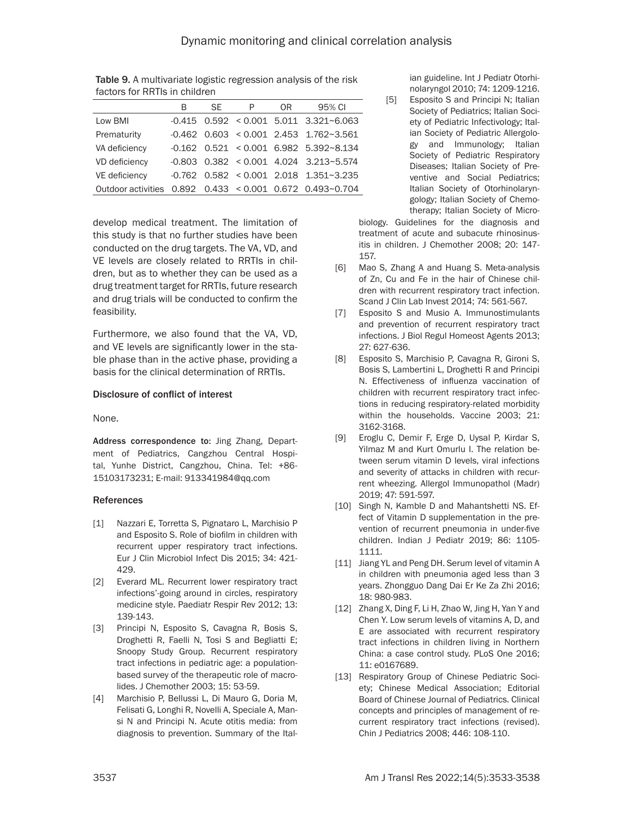|                                                          | B | SF. | P | 0R | 95% CI                                                    |
|----------------------------------------------------------|---|-----|---|----|-----------------------------------------------------------|
| Low BMI                                                  |   |     |   |    | $-0.415$ 0.592 < 0.001 5.011 3.321~6.063                  |
| Prematurity                                              |   |     |   |    | $-0.462$ 0.603 < 0.001 2.453 1.762~3.561                  |
| VA deficiency                                            |   |     |   |    | $-0.162$ $0.521$ < 0.001 6.982 5.392~8.134                |
| VD deficiency                                            |   |     |   |    | $-0.803$ $0.382$ $\leq$ 0.001 4.024 3.213~5.574           |
| VE deficiency                                            |   |     |   |    | $-0.762$ $0.582$ $\leq$ 0.001 2.018 1.351 $\approx$ 3.235 |
| Outdoor activities 0.892 0.433 < 0.001 0.672 0.493~0.704 |   |     |   |    |                                                           |

Table 9. A multivariate logistic regression analysis of the risk factors for RRTIs in children

develop medical treatment. The limitation of this study is that no further studies have been conducted on the drug targets. The VA, VD, and VE levels are closely related to RRTIs in children, but as to whether they can be used as a drug treatment target for RRTIs, future research and drug trials will be conducted to confirm the feasibility.

Furthermore, we also found that the VA, VD, and VE levels are significantly lower in the stable phase than in the active phase, providing a basis for the clinical determination of RRTIs.

## Disclosure of conflict of interest

None.

Address correspondence to: Jing Zhang, Department of Pediatrics, Cangzhou Central Hospital, Yunhe District, Cangzhou, China. Tel: +86- 15103173231; E-mail: [913341984@qq.com](mailto:913341984@qq.com)

## References

- [1] Nazzari E, Torretta S, Pignataro L, Marchisio P and Esposito S. Role of biofilm in children with recurrent upper respiratory tract infections. Eur J Clin Microbiol Infect Dis 2015; 34: 421- 429.
- [2] Everard ML. Recurrent lower respiratory tract infections'-going around in circles, respiratory medicine style. Paediatr Respir Rev 2012; 13: 139-143.
- [3] Principi N, Esposito S, Cavagna R, Bosis S, Droghetti R, Faelli N, Tosi S and Begliatti E; Snoopy Study Group. Recurrent respiratory tract infections in pediatric age: a populationbased survey of the therapeutic role of macrolides. J Chemother 2003; 15: 53-59.
- [4] Marchisio P, Bellussi L, Di Mauro G, Doria M, Felisati G, Longhi R, Novelli A, Speciale A, Mansi N and Principi N. Acute otitis media: from diagnosis to prevention. Summary of the Ital-

ian guideline. Int J Pediatr Otorhinolaryngol 2010; 74: 1209-1216.

[5] Esposito S and Principi N; Italian Society of Pediatrics; Italian Society of Pediatric Infectivology; Italian Society of Pediatric Allergology and Immunology; Italian Society of Pediatric Respiratory Diseases; Italian Society of Preventive and Social Pediatrics; Italian Society of Otorhinolaryngology; Italian Society of Chemotherapy; Italian Society of Micro-

biology. Guidelines for the diagnosis and treatment of acute and subacute rhinosinusitis in children. J Chemother 2008; 20: 147- 157.

- [6] Mao S, Zhang A and Huang S. Meta-analysis of Zn, Cu and Fe in the hair of Chinese children with recurrent respiratory tract infection. Scand J Clin Lab Invest 2014; 74: 561-567.
- [7] Esposito S and Musio A. Immunostimulants and prevention of recurrent respiratory tract infections. J Biol Regul Homeost Agents 2013; 27: 627-636.
- [8] Esposito S, Marchisio P, Cavagna R, Gironi S, Bosis S, Lambertini L, Droghetti R and Principi N. Effectiveness of influenza vaccination of children with recurrent respiratory tract infections in reducing respiratory-related morbidity within the households. Vaccine 2003; 21: 3162-3168.
- [9] Eroglu C, Demir F, Erge D, Uysal P, Kirdar S, Yilmaz M and Kurt Omurlu I. The relation between serum vitamin D levels, viral infections and severity of attacks in children with recurrent wheezing. Allergol Immunopathol (Madr) 2019; 47: 591-597.
- [10] Singh N, Kamble D and Mahantshetti NS. Effect of Vitamin D supplementation in the prevention of recurrent pneumonia in under-five children. Indian J Pediatr 2019; 86: 1105- 1111.
- [11] Jiang YL and Peng DH. Serum level of vitamin A in children with pneumonia aged less than 3 years. Zhongguo Dang Dai Er Ke Za Zhi 2016; 18: 980-983.
- [12] Zhang X, Ding F, Li H, Zhao W, Jing H, Yan Y and Chen Y. Low serum levels of vitamins A, D, and E are associated with recurrent respiratory tract infections in children living in Northern China: a case control study. PLoS One 2016; 11: e0167689.
- [13] Respiratory Group of Chinese Pediatric Society; Chinese Medical Association; Editorial Board of Chinese Journal of Pediatrics. Clinical concepts and principles of management of recurrent respiratory tract infections (revised). Chin J Pediatrics 2008; 446: 108-110.